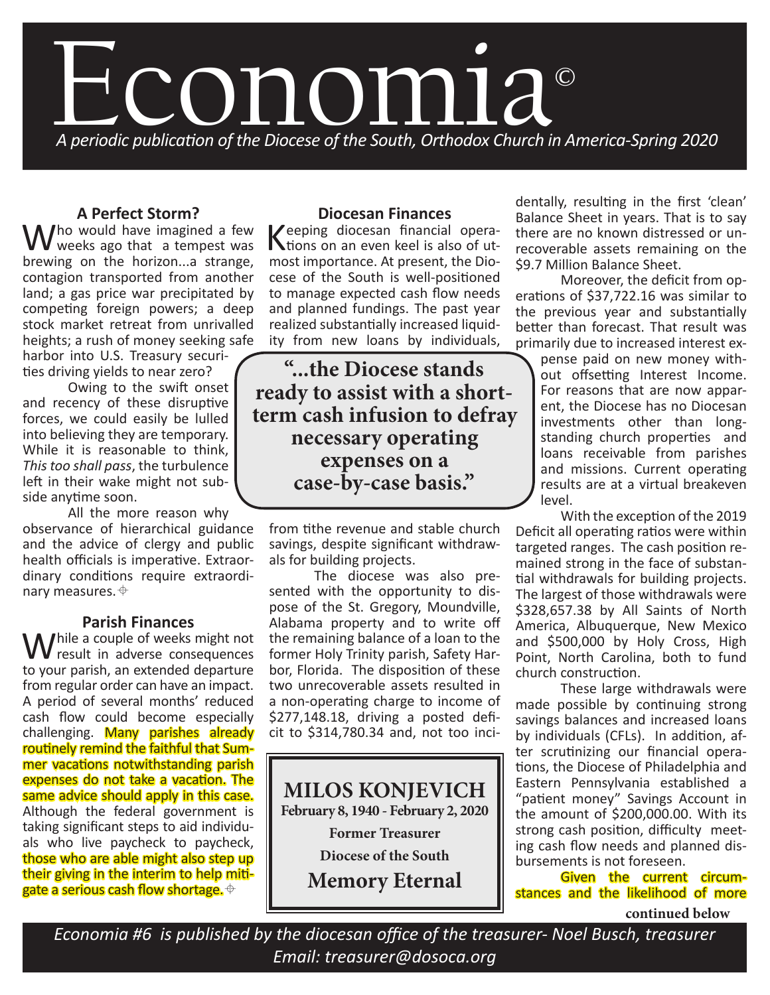

# **A Perfect Storm?**

Who would have imagined a few weeks ago that a tempest was brewing on the horizon...a strange, contagion transported from another land; a gas price war precipitated by competing foreign powers; a deep stock market retreat from unrivalled heights; a rush of money seeking safe

harbor into U.S. Treasury securities driving yields to near zero?

Owing to the swift onset and recency of these disruptive forces, we could easily be lulled into believing they are temporary. While it is reasonable to think, *This too shall pass*, the turbulence left in their wake might not subside anytime soon.

All the more reason why observance of hierarchical guidance and the advice of clergy and public health officials is imperative. Extraordinary conditions require extraordinary measures.  $\triangleq$ 

## **Parish Finances**

While a couple of weeks might not<br>the result in adverse consequences to your parish, an extended departure from regular order can have an impact. A period of several months' reduced cash flow could become especially challenging. Many parishes already routinely remind the faithful that Summer vacations notwithstanding parish expenses do not take a vacation. The same advice should apply in this case. Although the federal government is taking significant steps to aid individuals who live paycheck to paycheck, those who are able might also step up their giving in the interim to help mitigate a serious cash flow shortage.  $\oplus$ 

### **Diocesan Finances**

Keeping diocesan financial opera-tions on an even keel is also of utmost importance. At present, the Diocese of the South is well-positioned to manage expected cash flow needs and planned fundings. The past year realized substantially increased liquidity from new loans by individuals,

**"...the Diocese stands ready to assist with a shortterm cash infusion to defray necessary operating expenses on a case-by-case basis."**

from tithe revenue and stable church savings, despite significant withdrawals for building projects.

The diocese was also presented with the opportunity to dispose of the St. Gregory, Moundville, Alabama property and to write off the remaining balance of a loan to the former Holy Trinity parish, Safety Harbor, Florida. The disposition of these two unrecoverable assets resulted in a non-operating charge to income of \$277,148.18, driving a posted deficit to \$314,780.34 and, not too inci-

**MILOS KONJEVICH February 8, 1940 - February 2, 2020**

**Former Treasurer Diocese of the South Memory Eternal** dentally, resulting in the first 'clean' Balance Sheet in years. That is to say there are no known distressed or unrecoverable assets remaining on the \$9.7 Million Balance Sheet.

Moreover, the deficit from operations of \$37,722.16 was similar to the previous year and substantially better than forecast. That result was primarily due to increased interest ex-

pense paid on new money without offsetting Interest Income. For reasons that are now apparent, the Diocese has no Diocesan investments other than longstanding church properties and loans receivable from parishes and missions. Current operating results are at a virtual breakeven level.

With the exception of the 2019 Deficit all operating ratios were within targeted ranges. The cash position remained strong in the face of substantial withdrawals for building projects. The largest of those withdrawals were \$328,657.38 by All Saints of North America, Albuquerque, New Mexico and \$500,000 by Holy Cross, High Point, North Carolina, both to fund church construction.

These large withdrawals were made possible by continuing strong savings balances and increased loans by individuals (CFLs). In addition, after scrutinizing our financial operations, the Diocese of Philadelphia and Eastern Pennsylvania established a "patient money" Savings Account in the amount of \$200,000.00. With its strong cash position, difficulty meeting cash flow needs and planned disbursements is not foreseen.

Given the current circumstances and the likelihood of more

**continued below**

*Economia #6 is published by the diocesan office of the treasurer- Noel Busch, treasurer Email: treasurer@dosoca.org*